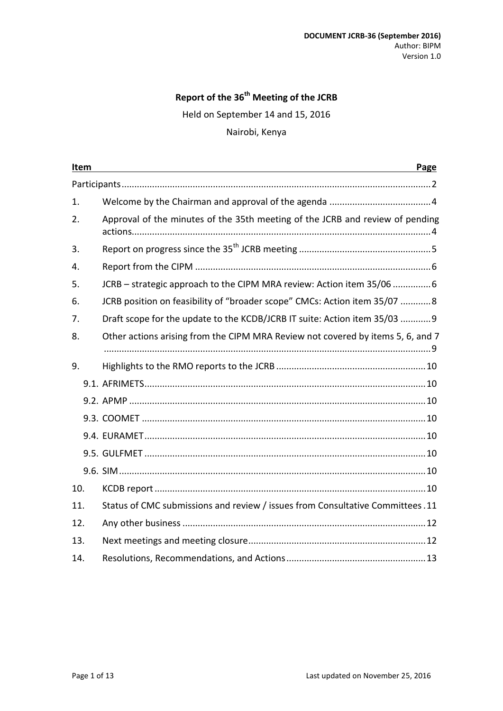### **Report of the 36 th Meeting of the JCRB**

Held on September 14 and 15, 2016

#### Nairobi, Kenya

| Item | Page<br><u> 1989 - Jan Salaman Salaman (j. 1989)</u>                            |
|------|---------------------------------------------------------------------------------|
|      |                                                                                 |
| 1.   |                                                                                 |
| 2.   | Approval of the minutes of the 35th meeting of the JCRB and review of pending   |
| 3.   |                                                                                 |
| 4.   |                                                                                 |
| 5.   | JCRB - strategic approach to the CIPM MRA review: Action item 35/06 6           |
| 6.   | JCRB position on feasibility of "broader scope" CMCs: Action item 35/07 8       |
| 7.   | Draft scope for the update to the KCDB/JCRB IT suite: Action item 35/03 9       |
| 8.   | Other actions arising from the CIPM MRA Review not covered by items 5, 6, and 7 |
| 9.   |                                                                                 |
|      |                                                                                 |
|      |                                                                                 |
|      |                                                                                 |
|      |                                                                                 |
|      |                                                                                 |
|      |                                                                                 |
| 10.  |                                                                                 |
| 11.  | Status of CMC submissions and review / issues from Consultative Committees.11   |
| 12.  |                                                                                 |
| 13.  |                                                                                 |
| 14.  |                                                                                 |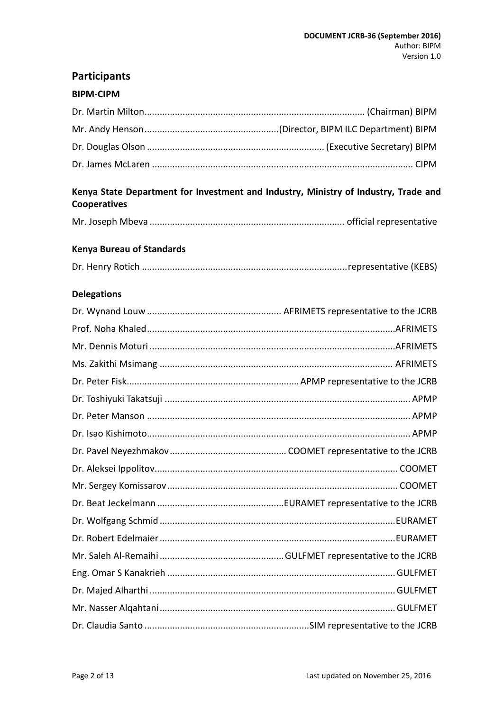# <span id="page-1-0"></span>**Participants**

#### **BIPM-CIPM**

### **Kenya State Department for Investment and Industry, Ministry of Industry, Trade and Cooperatives**

|--|--|--|--|

#### **Kenya Bureau of Standards**

|--|--|--|

### **Delegations**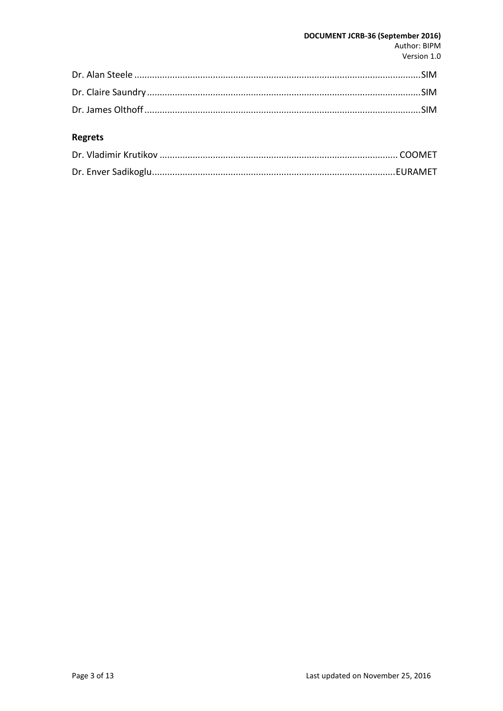#### DOCUMENT JCRB-36 (September 2016) Author: BIPM Version 1.0

### Regrets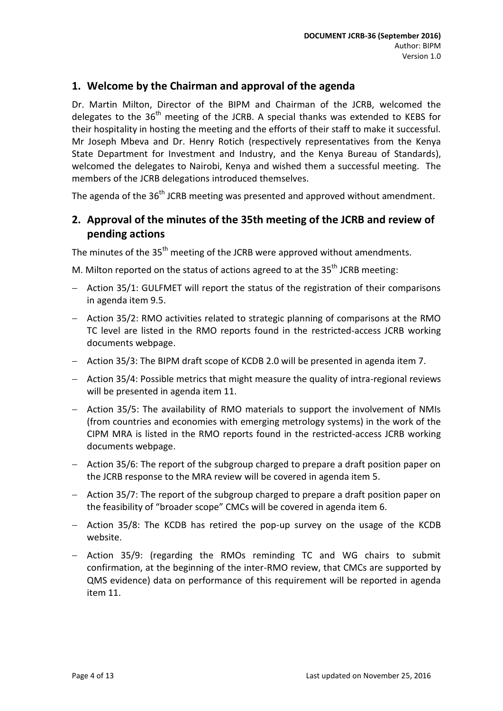### <span id="page-3-0"></span>**1. Welcome by the Chairman and approval of the agenda**

Dr. Martin Milton, Director of the BIPM and Chairman of the JCRB, welcomed the delegates to the 36<sup>th</sup> meeting of the JCRB. A special thanks was extended to KEBS for their hospitality in hosting the meeting and the efforts of their staff to make it successful. Mr Joseph Mbeva and Dr. Henry Rotich (respectively representatives from the Kenya State Department for Investment and Industry, and the Kenya Bureau of Standards), welcomed the delegates to Nairobi, Kenya and wished them a successful meeting. The members of the JCRB delegations introduced themselves.

The agenda of the 36<sup>th</sup> JCRB meeting was presented and approved without amendment.

### <span id="page-3-1"></span>**2. Approval of the minutes of the 35th meeting of the JCRB and review of pending actions**

The minutes of the 35<sup>th</sup> meeting of the JCRB were approved without amendments.

M. Milton reported on the status of actions agreed to at the 35<sup>th</sup> JCRB meeting:

- Action 35/1: GULFMET will report the status of the registration of their comparisons in agenda item 9.5.
- Action 35/2: RMO activities related to strategic planning of comparisons at the RMO TC level are listed in the RMO reports found in the restricted-access JCRB working documents webpage.
- Action 35/3: The BIPM draft scope of KCDB 2.0 will be presented in agenda item 7.
- Action 35/4: Possible metrics that might measure the quality of intra-regional reviews will be presented in agenda item 11.
- Action 35/5: The availability of RMO materials to support the involvement of NMIs (from countries and economies with emerging metrology systems) in the work of the CIPM MRA is listed in the RMO reports found in the restricted-access JCRB working documents webpage.
- Action 35/6: The report of the subgroup charged to prepare a draft position paper on the JCRB response to the MRA review will be covered in agenda item 5.
- $-$  Action 35/7: The report of the subgroup charged to prepare a draft position paper on the feasibility of "broader scope" CMCs will be covered in agenda item 6.
- $-$  Action 35/8: The KCDB has retired the pop-up survey on the usage of the KCDB website.
- Action 35/9: (regarding the RMOs reminding TC and WG chairs to submit confirmation, at the beginning of the inter-RMO review, that CMCs are supported by QMS evidence) data on performance of this requirement will be reported in agenda item 11.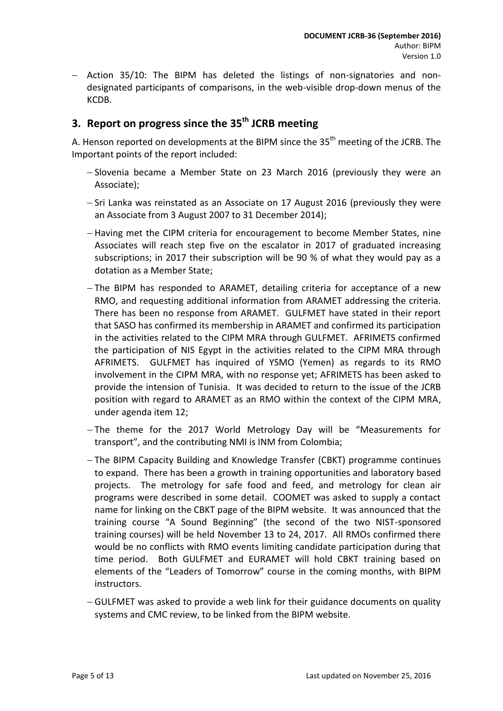- Action 35/10: The BIPM has deleted the listings of non-signatories and nondesignated participants of comparisons, in the web-visible drop-down menus of the KCDB.

# <span id="page-4-0"></span>**3. Report on progress since the 35 th JCRB meeting**

A. Henson reported on developments at the BIPM since the 35<sup>th</sup> meeting of the JCRB. The Important points of the report included:

- $-$  Slovenia became a Member State on 23 March 2016 (previously they were an Associate);
- $-$  Sri Lanka was reinstated as an Associate on 17 August 2016 (previously they were an Associate from 3 August 2007 to 31 December 2014);
- Having met the CIPM criteria for encouragement to become Member States, nine Associates will reach step five on the escalator in 2017 of graduated increasing subscriptions; in 2017 their subscription will be 90 % of what they would pay as a dotation as a Member State;
- The BIPM has responded to ARAMET, detailing criteria for acceptance of a new RMO, and requesting additional information from ARAMET addressing the criteria. There has been no response from ARAMET. GULFMET have stated in their report that SASO has confirmed its membership in ARAMET and confirmed its participation in the activities related to the CIPM MRA through GULFMET. AFRIMETS confirmed the participation of NIS Egypt in the activities related to the CIPM MRA through AFRIMETS. GULFMET has inquired of YSMO (Yemen) as regards to its RMO involvement in the CIPM MRA, with no response yet; AFRIMETS has been asked to provide the intension of Tunisia. It was decided to return to the issue of the JCRB position with regard to ARAMET as an RMO within the context of the CIPM MRA, under agenda item 12;
- $-$  The theme for the 2017 World Metrology Day will be "Measurements for transport", and the contributing NMI is INM from Colombia;
- The BIPM Capacity Building and Knowledge Transfer (CBKT) programme continues to expand. There has been a growth in training opportunities and laboratory based projects. The metrology for safe food and feed, and metrology for clean air programs were described in some detail. COOMET was asked to supply a contact name for linking on the CBKT page of the BIPM website. It was announced that the training course "A Sound Beginning" (the second of the two NIST-sponsored training courses) will be held November 13 to 24, 2017. All RMOs confirmed there would be no conflicts with RMO events limiting candidate participation during that time period. Both GULFMET and EURAMET will hold CBKT training based on elements of the "Leaders of Tomorrow" course in the coming months, with BIPM instructors.
- GULFMET was asked to provide a web link for their guidance documents on quality systems and CMC review, to be linked from the BIPM website.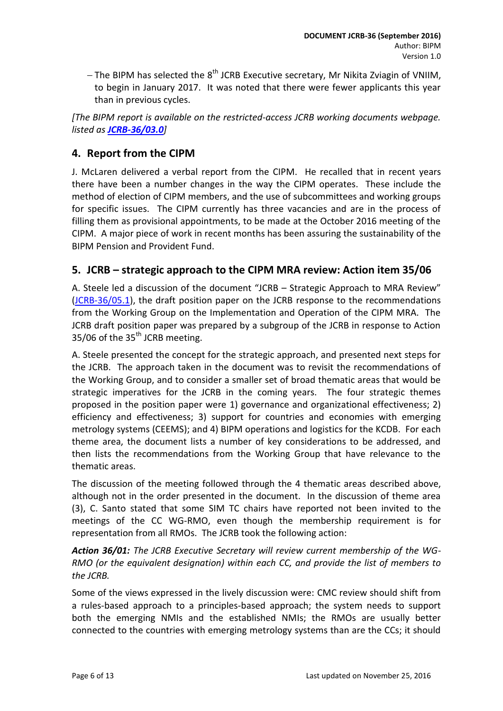$-$  The BIPM has selected the 8<sup>th</sup> JCRB Executive secretary, Mr Nikita Zviagin of VNIIM, to begin in January 2017. It was noted that there were fewer applicants this year than in previous cycles.

*[The BIPM report is available on the restricted-access JCRB working documents webpage. listed as [JCRB-36/03.0](http://www.bipm.org/cc/JCRB/Restricted/36/36-03.0_BIPM_Report_Progress.v4.pdf)]*

### <span id="page-5-0"></span>**4. Report from the CIPM**

J. McLaren delivered a verbal report from the CIPM. He recalled that in recent years there have been a number changes in the way the CIPM operates. These include the method of election of CIPM members, and the use of subcommittees and working groups for specific issues. The CIPM currently has three vacancies and are in the process of filling them as provisional appointments, to be made at the October 2016 meeting of the CIPM. A major piece of work in recent months has been assuring the sustainability of the BIPM Pension and Provident Fund.

### <span id="page-5-1"></span>**5. JCRB – strategic approach to the CIPM MRA review: Action item 35/06**

A. Steele led a discussion of the document "JCRB – Strategic Approach to MRA Review" [\(JCRB-36/05.1\)](http://www.bipm.org/cc/JCRB/Restricted/36/JCRB_MRA_Review_and_Strategy_v1.docx), the draft position paper on the JCRB response to the recommendations from the Working Group on the Implementation and Operation of the CIPM MRA. The JCRB draft position paper was prepared by a subgroup of the JCRB in response to Action 35/06 of the  $35<sup>th</sup>$  JCRB meeting.

A. Steele presented the concept for the strategic approach, and presented next steps for the JCRB. The approach taken in the document was to revisit the recommendations of the Working Group, and to consider a smaller set of broad thematic areas that would be strategic imperatives for the JCRB in the coming years. The four strategic themes proposed in the position paper were 1) governance and organizational effectiveness; 2) efficiency and effectiveness; 3) support for countries and economies with emerging metrology systems (CEEMS); and 4) BIPM operations and logistics for the KCDB. For each theme area, the document lists a number of key considerations to be addressed, and then lists the recommendations from the Working Group that have relevance to the thematic areas.

The discussion of the meeting followed through the 4 thematic areas described above, although not in the order presented in the document. In the discussion of theme area (3), C. Santo stated that some SIM TC chairs have reported not been invited to the meetings of the CC WG-RMO, even though the membership requirement is for representation from all RMOs. The JCRB took the following action:

*Action 36/01: The JCRB Executive Secretary will review current membership of the WG-RMO (or the equivalent designation) within each CC, and provide the list of members to the JCRB.*

Some of the views expressed in the lively discussion were: CMC review should shift from a rules-based approach to a principles-based approach; the system needs to support both the emerging NMIs and the established NMIs; the RMOs are usually better connected to the countries with emerging metrology systems than are the CCs; it should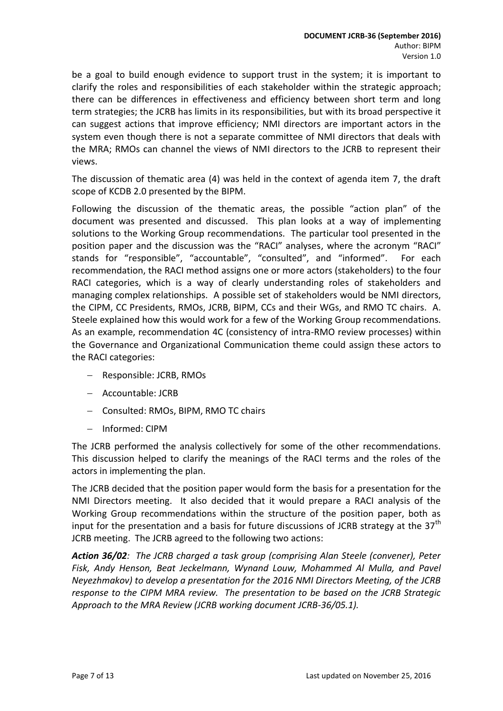be a goal to build enough evidence to support trust in the system; it is important to clarify the roles and responsibilities of each stakeholder within the strategic approach; there can be differences in effectiveness and efficiency between short term and long term strategies; the JCRB has limits in its responsibilities, but with its broad perspective it can suggest actions that improve efficiency; NMI directors are important actors in the system even though there is not a separate committee of NMI directors that deals with the MRA; RMOs can channel the views of NMI directors to the JCRB to represent their views.

The discussion of thematic area (4) was held in the context of agenda item 7, the draft scope of KCDB 2.0 presented by the BIPM.

Following the discussion of the thematic areas, the possible "action plan" of the document was presented and discussed. This plan looks at a way of implementing solutions to the Working Group recommendations. The particular tool presented in the position paper and the discussion was the "RACI" analyses, where the acronym "RACI" stands for "responsible", "accountable", "consulted", and "informed". For each recommendation, the RACI method assigns one or more actors (stakeholders) to the four RACI categories, which is a way of clearly understanding roles of stakeholders and managing complex relationships. A possible set of stakeholders would be NMI directors, the CIPM, CC Presidents, RMOs, JCRB, BIPM, CCs and their WGs, and RMO TC chairs. A. Steele explained how this would work for a few of the Working Group recommendations. As an example, recommendation 4C (consistency of intra-RMO review processes) within the Governance and Organizational Communication theme could assign these actors to the RACI categories:

- Responsible: JCRB, RMOs
- Accountable: JCRB
- Consulted: RMOs, BIPM, RMO TC chairs
- Informed: CIPM

The JCRB performed the analysis collectively for some of the other recommendations. This discussion helped to clarify the meanings of the RACI terms and the roles of the actors in implementing the plan.

The JCRB decided that the position paper would form the basis for a presentation for the NMI Directors meeting. It also decided that it would prepare a RACI analysis of the Working Group recommendations within the structure of the position paper, both as input for the presentation and a basis for future discussions of JCRB strategy at the  $37<sup>th</sup>$ JCRB meeting. The JCRB agreed to the following two actions:

*Action 36/02: The JCRB charged a task group (comprising Alan Steele (convener), Peter Fisk, Andy Henson, Beat Jeckelmann, Wynand Louw, Mohammed Al Mulla, and Pavel Neyezhmakov) to develop a presentation for the 2016 NMI Directors Meeting, of the JCRB response to the CIPM MRA review. The presentation to be based on the JCRB Strategic Approach to the MRA Review (JCRB working document JCRB-36/05.1).*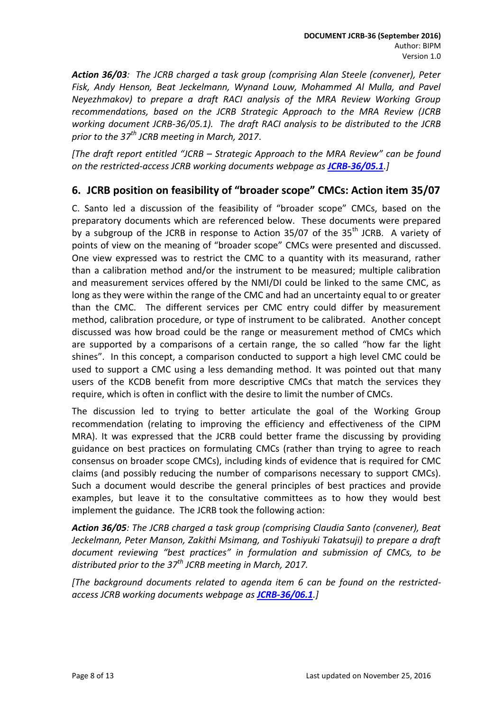*Action 36/03: The JCRB charged a task group (comprising Alan Steele (convener), Peter Fisk, Andy Henson, Beat Jeckelmann, Wynand Louw, Mohammed Al Mulla, and Pavel Neyezhmakov) to prepare a draft RACI analysis of the MRA Review Working Group recommendations, based on the JCRB Strategic Approach to the MRA Review (JCRB working document JCRB-36/05.1). The draft RACI analysis to be distributed to the JCRB prior to the 37th JCRB meeting in March, 2017*.

*[The draft report entitled "JCRB – Strategic Approach to the MRA Review" can be found on the restricted-access JCRB working documents webpage as [JCRB-36/05.1](http://www.bipm.org/cc/JCRB/Restricted/36/JCRB_MRA_Review_and_Strategy_v1.docx).]*

### <span id="page-7-0"></span>**6. JCRB position on feasibility of "broader scope" CMCs: Action item 35/07**

C. Santo led a discussion of the feasibility of "broader scope" CMCs, based on the preparatory documents which are referenced below. These documents were prepared by a subgroup of the JCRB in response to Action 35/07 of the  $35<sup>th</sup>$  JCRB. A variety of points of view on the meaning of "broader scope" CMCs were presented and discussed. One view expressed was to restrict the CMC to a quantity with its measurand, rather than a calibration method and/or the instrument to be measured; multiple calibration and measurement services offered by the NMI/DI could be linked to the same CMC, as long as they were within the range of the CMC and had an uncertainty equal to or greater than the CMC. The different services per CMC entry could differ by measurement method, calibration procedure, or type of instrument to be calibrated. Another concept discussed was how broad could be the range or measurement method of CMCs which are supported by a comparisons of a certain range, the so called "how far the light shines". In this concept, a comparison conducted to support a high level CMC could be used to support a CMC using a less demanding method. It was pointed out that many users of the KCDB benefit from more descriptive CMCs that match the services they require, which is often in conflict with the desire to limit the number of CMCs.

The discussion led to trying to better articulate the goal of the Working Group recommendation (relating to improving the efficiency and effectiveness of the CIPM MRA). It was expressed that the JCRB could better frame the discussing by providing guidance on best practices on formulating CMCs (rather than trying to agree to reach consensus on broader scope CMCs), including kinds of evidence that is required for CMC claims (and possibly reducing the number of comparisons necessary to support CMCs). Such a document would describe the general principles of best practices and provide examples, but leave it to the consultative committees as to how they would best implement the guidance. The JCRB took the following action:

*Action 36/05: The JCRB charged a task group (comprising Claudia Santo (convener), Beat Jeckelmann, Peter Manson, Zakithi Msimang, and Toshiyuki Takatsuji) to prepare a draft document reviewing "best practices" in formulation and submission of CMCs, to be distributed prior to the 37th JCRB meeting in March, 2017.*

*[The background documents related to agenda item 6 can be found on the restrictedaccess JCRB working documents webpage as [JCRB-36/06.1](http://www.bipm.org/cc/JCRB/Restricted/36/Broader-scope-CMCs.zip).]*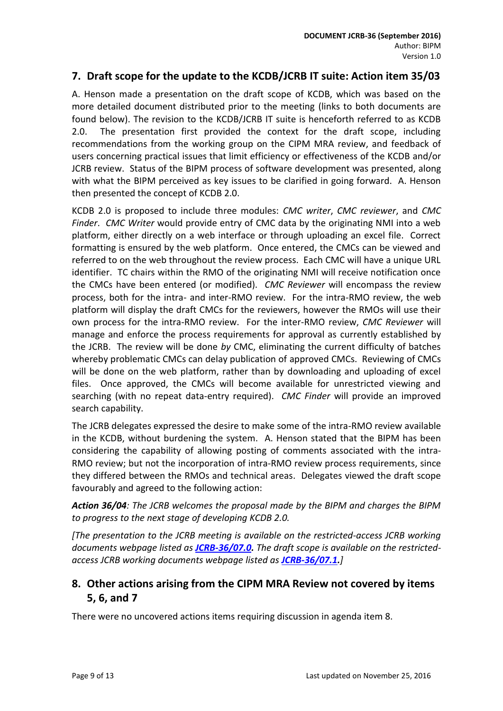### <span id="page-8-0"></span>**7. Draft scope for the update to the KCDB/JCRB IT suite: Action item 35/03**

A. Henson made a presentation on the draft scope of KCDB, which was based on the more detailed document distributed prior to the meeting (links to both documents are found below). The revision to the KCDB/JCRB IT suite is henceforth referred to as KCDB 2.0. The presentation first provided the context for the draft scope, including recommendations from the working group on the CIPM MRA review, and feedback of users concerning practical issues that limit efficiency or effectiveness of the KCDB and/or JCRB review. Status of the BIPM process of software development was presented, along with what the BIPM perceived as key issues to be clarified in going forward. A. Henson then presented the concept of KCDB 2.0.

KCDB 2.0 is proposed to include three modules: *CMC writer*, *CMC reviewer*, and *CMC Finder*. *CMC Writer* would provide entry of CMC data by the originating NMI into a web platform, either directly on a web interface or through uploading an excel file. Correct formatting is ensured by the web platform. Once entered, the CMCs can be viewed and referred to on the web throughout the review process. Each CMC will have a unique URL identifier. TC chairs within the RMO of the originating NMI will receive notification once the CMCs have been entered (or modified). *CMC Reviewer* will encompass the review process, both for the intra- and inter-RMO review. For the intra-RMO review, the web platform will display the draft CMCs for the reviewers, however the RMOs will use their own process for the intra-RMO review. For the inter-RMO review, *CMC Reviewer* will manage and enforce the process requirements for approval as currently established by the JCRB. The review will be done *by* CMC, eliminating the current difficulty of batches whereby problematic CMCs can delay publication of approved CMCs. Reviewing of CMCs will be done on the web platform, rather than by downloading and uploading of excel files. Once approved, the CMCs will become available for unrestricted viewing and searching (with no repeat data-entry required). *CMC Finder* will provide an improved search capability.

The JCRB delegates expressed the desire to make some of the intra-RMO review available in the KCDB, without burdening the system. A. Henson stated that the BIPM has been considering the capability of allowing posting of comments associated with the intra-RMO review; but not the incorporation of intra-RMO review process requirements, since they differed between the RMOs and technical areas. Delegates viewed the draft scope favourably and agreed to the following action:

*Action 36/04: The JCRB welcomes the proposal made by the BIPM and charges the BIPM to progress to the next stage of developing KCDB 2.0.*

*[The presentation to the JCRB meeting is available on the restricted-access JCRB working documents webpage listed as [JCRB-36/07.0.](http://www.bipm.org/cc/JCRB/Restricted/36/36-7.0_KCDB_2.0_v6.pdf) The draft scope is available on the restrictedaccess JCRB working documents webpage listed as [JCRB-36/07.1.](http://www.bipm.org/cc/JCRB/Restricted/36/Draft_scope_revision_towards_KCDB_2.0.pdf)]*

## <span id="page-8-1"></span>**8. Other actions arising from the CIPM MRA Review not covered by items 5, 6, and 7**

There were no uncovered actions items requiring discussion in agenda item 8.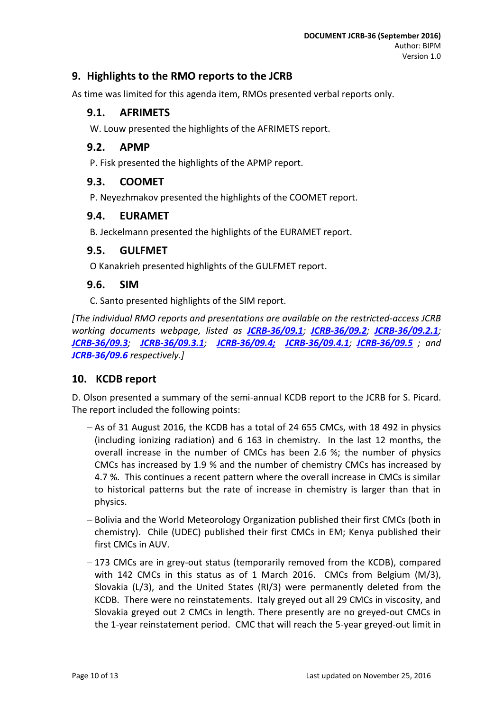### <span id="page-9-0"></span>**9. Highlights to the RMO reports to the JCRB**

<span id="page-9-1"></span>As time was limited for this agenda item, RMOs presented verbal reports only.

### **9.1. AFRIMETS**

W. Louw presented the highlights of the AFRIMETS report.

#### <span id="page-9-2"></span>**9.2. APMP**

P. Fisk presented the highlights of the APMP report.

#### <span id="page-9-3"></span>**9.3. COOMET**

P. Neyezhmakov presented the highlights of the COOMET report.

#### <span id="page-9-4"></span>**9.4. EURAMET**

B. Jeckelmann presented the highlights of the EURAMET report.

#### <span id="page-9-5"></span>**9.5. GULFMET**

O Kanakrieh presented highlights of the GULFMET report.

#### <span id="page-9-6"></span>**9.6. SIM**

C. Santo presented highlights of the SIM report.

*[The individual RMO reports and presentations are available on the restricted-access JCRB working documents webpage, listed as [JCRB-36/09.1](http://www.bipm.org/cc/JCRB/Restricted/36/AFRIMETS_Report_36th_JCRB_2016.doc); [JCRB-36/09.2](http://www.bipm.org/cc/JCRB/Restricted/36/APMP_report_JCRB_September_2016_Final_v2.pdf); [JCRB-36/09.2.1](http://www.bipm.org/cc/JCRB/Restricted/36/APMP_RMO_Presentation_JCRB_Sep_2016_v2.pptx); [JCRB-36/09.3](http://www.bipm.org/cc/JCRB/Restricted/36/JCRB_36_COOMET_Report.pdf); [JCRB-36/09.3.1](http://www.bipm.org/cc/JCRB/Restricted/36/JCRB-36_COOMET_Report.ppt); [JCRB-36/09.4;](http://www.bipm.org/cc/JCRB/Restricted/36/EURAMET-Report_36th-JCRB_160829.pdf) [JCRB-36/09.4.1](http://www.bipm.org/cc/JCRB/Restricted/36/36th-JCRB_EURAMET_Presentation.pptx); [JCRB-36/09.5](http://www.bipm.org/cc/JCRB/Restricted/36/GULFMET_Presentation_36_JCRB.ppt) ; and [JCRB-36/09.6](http://www.bipm.org/cc/JCRB/Restricted/36/presentacionSIM.ppt) respectively.]*

#### <span id="page-9-7"></span>**10. KCDB report**

D. Olson presented a summary of the semi-annual KCDB report to the JCRB for S. Picard. The report included the following points:

- $-$  As of 31 August 2016, the KCDB has a total of 24 655 CMCs, with 18 492 in physics (including ionizing radiation) and 6 163 in chemistry. In the last 12 months, the overall increase in the number of CMCs has been 2.6 %; the number of physics CMCs has increased by 1.9 % and the number of chemistry CMCs has increased by 4.7 %. This continues a recent pattern where the overall increase in CMCs is similar to historical patterns but the rate of increase in chemistry is larger than that in physics.
- Bolivia and the World Meteorology Organization published their first CMCs (both in chemistry). Chile (UDEC) published their first CMCs in EM; Kenya published their first CMCs in AUV.
- -173 CMCs are in grey-out status (temporarily removed from the KCDB), compared with 142 CMCs in this status as of 1 March 2016. CMCs from Belgium (M/3), Slovakia (L/3), and the United States (RI/3) were permanently deleted from the KCDB. There were no reinstatements. Italy greyed out all 29 CMCs in viscosity, and Slovakia greyed out 2 CMCs in length. There presently are no greyed-out CMCs in the 1-year reinstatement period. CMC that will reach the 5-year greyed-out limit in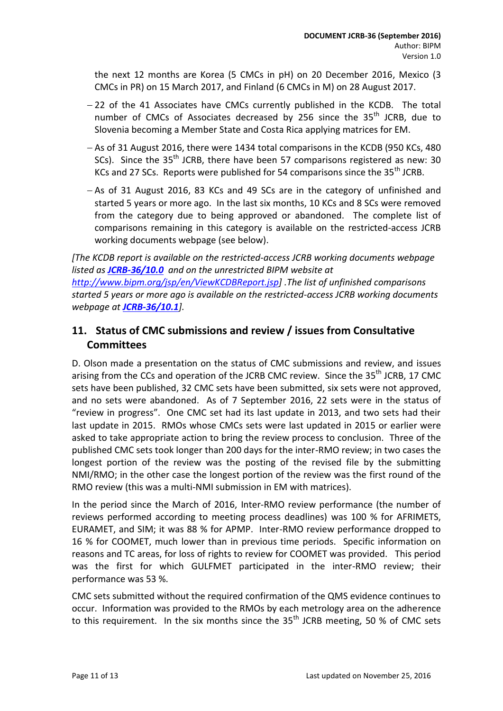the next 12 months are Korea (5 CMCs in pH) on 20 December 2016, Mexico (3 CMCs in PR) on 15 March 2017, and Finland (6 CMCs in M) on 28 August 2017.

- -22 of the 41 Associates have CMCs currently published in the KCDB. The total number of CMCs of Associates decreased by 256 since the 35<sup>th</sup> JCRB, due to Slovenia becoming a Member State and Costa Rica applying matrices for EM.
- As of 31 August 2016, there were 1434 total comparisons in the KCDB (950 KCs, 480) SCs). Since the  $35<sup>th</sup>$  JCRB, there have been 57 comparisons registered as new: 30 KCs and 27 SCs. Reports were published for 54 comparisons since the 35<sup>th</sup> JCRB.
- $-$  As of 31 August 2016, 83 KCs and 49 SCs are in the category of unfinished and started 5 years or more ago. In the last six months, 10 KCs and 8 SCs were removed from the category due to being approved or abandoned. The complete list of comparisons remaining in this category is available on the restricted-access JCRB working documents webpage (see below).

*[The KCDB report is available on the restricted-access JCRB working documents webpage listed as [JCRB-36/10.0](http://www.bipm.org/cc/JCRB/Restricted/36/KCDB_Report_to_36th_JCRB_v4.pdf) and on the unrestricted BIPM website at [http://www.bipm.org/jsp/en/ViewKCDBReport.jsp\]](http://www.bipm.org/jsp/en/ViewKCDBReport.jsp) .The list of unfinished comparisons started 5 years or more ago is available on the restricted-access JCRB working documents webpage at [JCRB-36/10.1](http://www.bipm.org/cc/JCRB/Restricted/36/Incompl_Comp_over_5_years_Aug_2016.pdf)].*

# <span id="page-10-0"></span>**11. Status of CMC submissions and review / issues from Consultative Committees**

D. Olson made a presentation on the status of CMC submissions and review, and issues arising from the CCs and operation of the JCRB CMC review. Since the 35<sup>th</sup> JCRB, 17 CMC sets have been published, 32 CMC sets have been submitted, six sets were not approved, and no sets were abandoned. As of 7 September 2016, 22 sets were in the status of "review in progress". One CMC set had its last update in 2013, and two sets had their last update in 2015. RMOs whose CMCs sets were last updated in 2015 or earlier were asked to take appropriate action to bring the review process to conclusion. Three of the published CMC sets took longer than 200 days for the inter-RMO review; in two cases the longest portion of the review was the posting of the revised file by the submitting NMI/RMO; in the other case the longest portion of the review was the first round of the RMO review (this was a multi-NMI submission in EM with matrices).

In the period since the March of 2016, Inter-RMO review performance (the number of reviews performed according to meeting process deadlines) was 100 % for AFRIMETS, EURAMET, and SIM; it was 88 % for APMP. Inter-RMO review performance dropped to 16 % for COOMET, much lower than in previous time periods. Specific information on reasons and TC areas, for loss of rights to review for COOMET was provided. This period was the first for which GULFMET participated in the inter-RMO review; their performance was 53 %.

CMC sets submitted without the required confirmation of the QMS evidence continues to occur. Information was provided to the RMOs by each metrology area on the adherence to this requirement. In the six months since the  $35<sup>th</sup>$  JCRB meeting, 50 % of CMC sets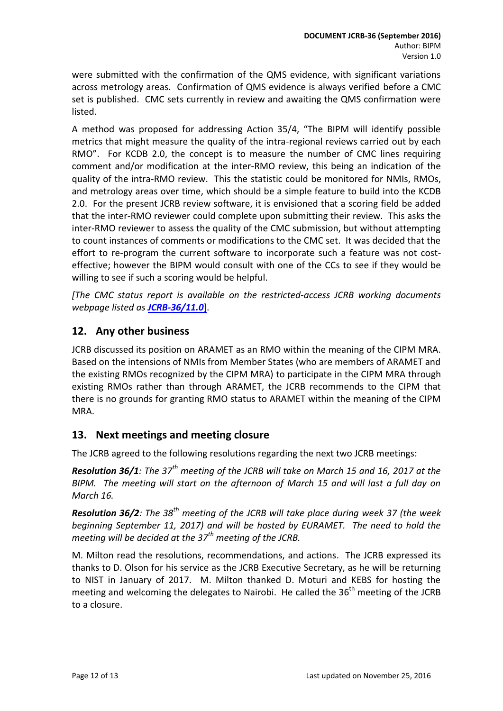were submitted with the confirmation of the QMS evidence, with significant variations across metrology areas. Confirmation of QMS evidence is always verified before a CMC set is published. CMC sets currently in review and awaiting the QMS confirmation were listed.

A method was proposed for addressing Action 35/4, "The BIPM will identify possible metrics that might measure the quality of the intra-regional reviews carried out by each RMO". For KCDB 2.0, the concept is to measure the number of CMC lines requiring comment and/or modification at the inter-RMO review, this being an indication of the quality of the intra-RMO review. This the statistic could be monitored for NMIs, RMOs, and metrology areas over time, which should be a simple feature to build into the KCDB 2.0. For the present JCRB review software, it is envisioned that a scoring field be added that the inter-RMO reviewer could complete upon submitting their review. This asks the inter-RMO reviewer to assess the quality of the CMC submission, but without attempting to count instances of comments or modifications to the CMC set. It was decided that the effort to re-program the current software to incorporate such a feature was not costeffective; however the BIPM would consult with one of the CCs to see if they would be willing to see if such a scoring would be helpful.

*[The CMC status report is available on the restricted-access JCRB working documents webpage listed as [JCRB-36/11.0](http://www.bipm.org/cc/JCRB/Restricted/36/36-11.0_Status_of_CMCs.pdf)*].

### <span id="page-11-0"></span>**12. Any other business**

JCRB discussed its position on ARAMET as an RMO within the meaning of the CIPM MRA. Based on the intensions of NMIs from Member States (who are members of ARAMET and the existing RMOs recognized by the CIPM MRA) to participate in the CIPM MRA through existing RMOs rather than through ARAMET, the JCRB recommends to the CIPM that there is no grounds for granting RMO status to ARAMET within the meaning of the CIPM MRA.

### <span id="page-11-1"></span>**13. Next meetings and meeting closure**

The JCRB agreed to the following resolutions regarding the next two JCRB meetings:

*Resolution 36/1: The 37th meeting of the JCRB will take on March 15 and 16, 2017 at the BIPM. The meeting will start on the afternoon of March 15 and will last a full day on March 16.*

*Resolution 36/2: The 38th meeting of the JCRB will take place during week 37 (the week beginning September 11, 2017) and will be hosted by EURAMET. The need to hold the meeting will be decided at the 37th meeting of the JCRB.*

M. Milton read the resolutions, recommendations, and actions. The JCRB expressed its thanks to D. Olson for his service as the JCRB Executive Secretary, as he will be returning to NIST in January of 2017. M. Milton thanked D. Moturi and KEBS for hosting the meeting and welcoming the delegates to Nairobi. He called the 36<sup>th</sup> meeting of the JCRB to a closure.